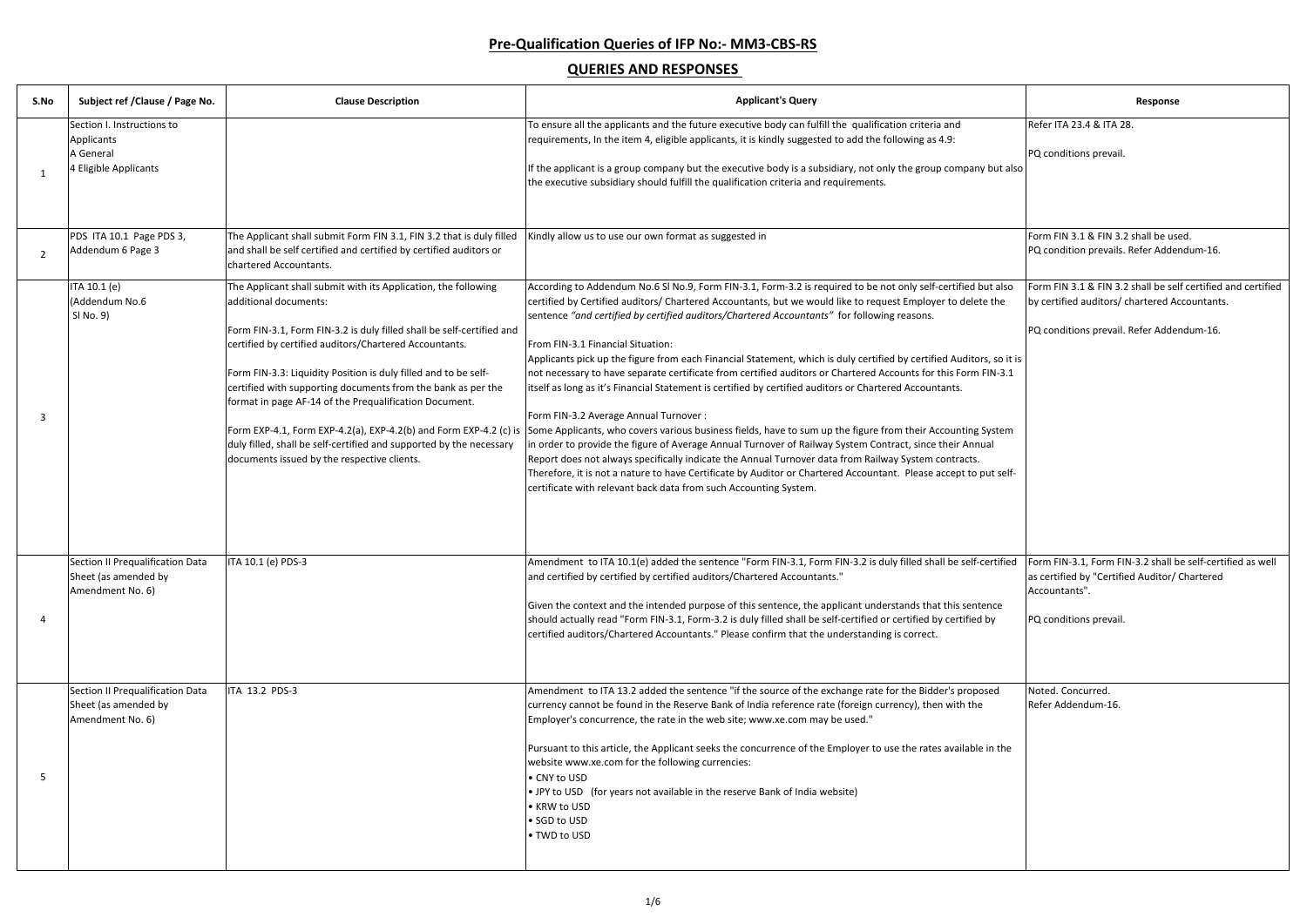|                        | Response                                                                                                                     |
|------------------------|------------------------------------------------------------------------------------------------------------------------------|
|                        | Refer ITA 23.4 & ITA 28.                                                                                                     |
| but also               | PQ conditions prevail.                                                                                                       |
|                        |                                                                                                                              |
|                        | Form FIN 3.1 & FIN 3.2 shall be used.                                                                                        |
|                        | PQ condition prevails. Refer Addendum-16.                                                                                    |
| it also                | Form FIN 3.1 & FIN 3.2 shall be self certified and certified                                                                 |
| the                    | by certified auditors/ chartered Accountants.                                                                                |
|                        | PQ conditions prevail. Refer Addendum-16.                                                                                    |
| , so it is<br>$IN-3.1$ |                                                                                                                              |
|                        |                                                                                                                              |
| ystem                  |                                                                                                                              |
| зI                     |                                                                                                                              |
| ut self-               |                                                                                                                              |
|                        |                                                                                                                              |
|                        |                                                                                                                              |
|                        |                                                                                                                              |
| rtified                | Form FIN-3.1, Form FIN-3.2 shall be self-certified as well<br>as certified by "Certified Auditor/ Chartered<br>Accountants". |
| nce                    |                                                                                                                              |
| эy                     | PQ conditions prevail.                                                                                                       |
|                        |                                                                                                                              |
|                        | Noted. Concurred.                                                                                                            |
| ed                     | Refer Addendum-16.                                                                                                           |
|                        |                                                                                                                              |
| n the                  |                                                                                                                              |
|                        |                                                                                                                              |
|                        |                                                                                                                              |
|                        |                                                                                                                              |
|                        |                                                                                                                              |

# **Pre-Qualification Queries of IFP No:- MM3-CBS-RS**

| S.No | Subject ref / Clause / Page No.                                                | <b>Clause Description</b>                                                                                                                                                                                                                                                                                                                                                                                                                                                                                                                     | <b>Applicant's Query</b>                                                                                                                                                                                                                                                                                                                                                                                                                                                                                                                                                                                                                                                                                                                                                                                                                                                                                                                                                                                                                                                                                                                                                                                                                                                                                                                                     | Response                                                                                                                                                   |
|------|--------------------------------------------------------------------------------|-----------------------------------------------------------------------------------------------------------------------------------------------------------------------------------------------------------------------------------------------------------------------------------------------------------------------------------------------------------------------------------------------------------------------------------------------------------------------------------------------------------------------------------------------|--------------------------------------------------------------------------------------------------------------------------------------------------------------------------------------------------------------------------------------------------------------------------------------------------------------------------------------------------------------------------------------------------------------------------------------------------------------------------------------------------------------------------------------------------------------------------------------------------------------------------------------------------------------------------------------------------------------------------------------------------------------------------------------------------------------------------------------------------------------------------------------------------------------------------------------------------------------------------------------------------------------------------------------------------------------------------------------------------------------------------------------------------------------------------------------------------------------------------------------------------------------------------------------------------------------------------------------------------------------|------------------------------------------------------------------------------------------------------------------------------------------------------------|
|      | Section I. Instructions to<br>Applicants<br>A General<br>4 Eligible Applicants |                                                                                                                                                                                                                                                                                                                                                                                                                                                                                                                                               | To ensure all the applicants and the future executive body can fulfill the qualification criteria and<br>requirements, In the item 4, eligible applicants, it is kindly suggested to add the following as 4.9:<br>If the applicant is a group company but the executive body is a subsidiary, not only the group company but also<br>the executive subsidiary should fulfill the qualification criteria and requirements.                                                                                                                                                                                                                                                                                                                                                                                                                                                                                                                                                                                                                                                                                                                                                                                                                                                                                                                                    | Refer ITA 23.4 & ITA 28.<br>PQ conditions prevail.                                                                                                         |
| 2    | PDS ITA 10.1 Page PDS 3,<br>Addendum 6 Page 3                                  | The Applicant shall submit Form FIN 3.1, FIN 3.2 that is duly filled<br>and shall be self certified and certified by certified auditors or<br>chartered Accountants.                                                                                                                                                                                                                                                                                                                                                                          | Kindly allow us to use our own format as suggested in                                                                                                                                                                                                                                                                                                                                                                                                                                                                                                                                                                                                                                                                                                                                                                                                                                                                                                                                                                                                                                                                                                                                                                                                                                                                                                        | Form FIN 3.1 & FIN 3.2 shall be used.<br>PQ condition prevails. Refer Addendum-16.                                                                         |
|      | ITA 10.1 (e)<br>(Addendum No.6<br>SI No. 9)                                    | The Applicant shall submit with its Application, the following<br>additional documents:<br>Form FIN-3.1, Form FIN-3.2 is duly filled shall be self-certified and<br>certified by certified auditors/Chartered Accountants.<br>Form FIN-3.3: Liquidity Position is duly filled and to be self-<br>certified with supporting documents from the bank as per the<br>format in page AF-14 of the Prequalification Document.<br>duly filled, shall be self-certified and supported by the necessary<br>documents issued by the respective clients. | According to Addendum No.6 SI No.9, Form FIN-3.1, Form-3.2 is required to be not only self-certified but also<br>certified by Certified auditors/ Chartered Accountants, but we would like to request Employer to delete the<br>sentence "and certified by certified auditors/Chartered Accountants" for following reasons.<br>From FIN-3.1 Financial Situation:<br>Applicants pick up the figure from each Financial Statement, which is duly certified by certified Auditors, so it is<br>not necessary to have separate certificate from certified auditors or Chartered Accounts for this Form FIN-3.1<br>itself as long as it's Financial Statement is certified by certified auditors or Chartered Accountants.<br>Form FIN-3.2 Average Annual Turnover :<br>Form EXP-4.1, Form EXP-4.2(a), EXP-4.2(b) and Form EXP-4.2 (c) is Some Applicants, who covers various business fields, have to sum up the figure from their Accounting System<br>in order to provide the figure of Average Annual Turnover of Railway System Contract, since their Annual<br>Report does not always specifically indicate the Annual Turnover data from Railway System contracts.<br>Therefore, it is not a nature to have Certificate by Auditor or Chartered Accountant. Please accept to put self-<br>certificate with relevant back data from such Accounting System. | Form FIN 3.1 & FIN 3.2 shall be self certified and certified<br>by certified auditors/ chartered Accountants.<br>PQ conditions prevail. Refer Addendum-16. |
| 4    | Section II Prequalification Data<br>Sheet (as amended by<br>Amendment No. 6)   | ITA 10.1 (e) PDS-3                                                                                                                                                                                                                                                                                                                                                                                                                                                                                                                            | Amendment to ITA 10.1(e) added the sentence "Form FIN-3.1, Form FIN-3.2 is duly filled shall be self-certified<br>and certified by certified by certified auditors/Chartered Accountants."<br>Given the context and the intended purpose of this sentence, the applicant understands that this sentence<br>should actually read "Form FIN-3.1, Form-3.2 is duly filled shall be self-certified or certified by certified by<br>certified auditors/Chartered Accountants." Please confirm that the understanding is correct.                                                                                                                                                                                                                                                                                                                                                                                                                                                                                                                                                                                                                                                                                                                                                                                                                                  | Form FIN-3.1, Form FIN-3.2 shall be self-certified as well<br>as certified by "Certified Auditor/ Chartered<br>Accountants".<br>PQ conditions prevail.     |
|      | Section II Prequalification Data<br>Sheet (as amended by<br>Amendment No. 6)   | ITA 13.2 PDS-3                                                                                                                                                                                                                                                                                                                                                                                                                                                                                                                                | Amendment to ITA 13.2 added the sentence "if the source of the exchange rate for the Bidder's proposed<br>currency cannot be found in the Reserve Bank of India reference rate (foreign currency), then with the<br>Employer's concurrence, the rate in the web site; www.xe.com may be used."<br>Pursuant to this article, the Applicant seeks the concurrence of the Employer to use the rates available in the<br>website www.xe.com for the following currencies:<br>• CNY to USD<br>• JPY to USD (for years not available in the reserve Bank of India website)<br>• KRW to USD<br>• SGD to USD<br>• TWD to USD                                                                                                                                                                                                                                                                                                                                                                                                                                                                                                                                                                                                                                                                                                                                         | Noted. Concurred.<br>Refer Addendum-16.                                                                                                                    |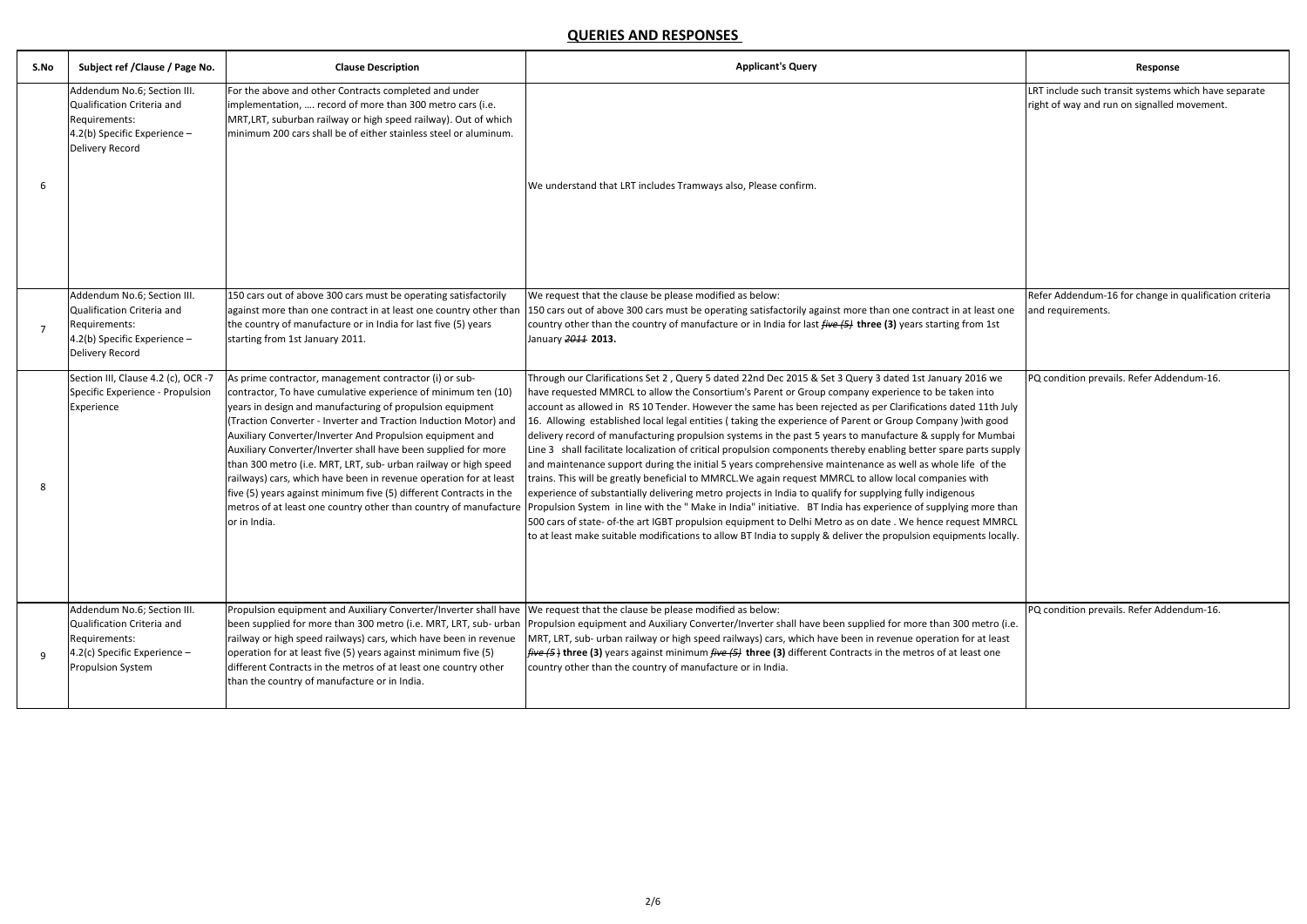| S.No | Subject ref / Clause / Page No.                                                                                                        | <b>Clause Description</b>                                                                                                                                                                                                                                                                                                                                                                                                                                                                                                                                                                                                                                                                 | <b>Applicant's Query</b>                                                                                                                                                                                                                                                                                                                                                                                                                                                                                                                                                                                                                                                                                                                                                                                                                                                                                                                                                                                                                                                                                                                                                                                                                                                                                                                                               | Response                                                                                            |
|------|----------------------------------------------------------------------------------------------------------------------------------------|-------------------------------------------------------------------------------------------------------------------------------------------------------------------------------------------------------------------------------------------------------------------------------------------------------------------------------------------------------------------------------------------------------------------------------------------------------------------------------------------------------------------------------------------------------------------------------------------------------------------------------------------------------------------------------------------|------------------------------------------------------------------------------------------------------------------------------------------------------------------------------------------------------------------------------------------------------------------------------------------------------------------------------------------------------------------------------------------------------------------------------------------------------------------------------------------------------------------------------------------------------------------------------------------------------------------------------------------------------------------------------------------------------------------------------------------------------------------------------------------------------------------------------------------------------------------------------------------------------------------------------------------------------------------------------------------------------------------------------------------------------------------------------------------------------------------------------------------------------------------------------------------------------------------------------------------------------------------------------------------------------------------------------------------------------------------------|-----------------------------------------------------------------------------------------------------|
| 6    | Addendum No.6; Section III.<br>Qualification Criteria and<br>Requirements:<br>4.2(b) Specific Experience -<br><b>Delivery Record</b>   | For the above and other Contracts completed and under<br>implementation,  record of more than 300 metro cars (i.e.<br>MRT, LRT, suburban railway or high speed railway). Out of which<br>minimum 200 cars shall be of either stainless steel or aluminum.                                                                                                                                                                                                                                                                                                                                                                                                                                 | We understand that LRT includes Tramways also, Please confirm.                                                                                                                                                                                                                                                                                                                                                                                                                                                                                                                                                                                                                                                                                                                                                                                                                                                                                                                                                                                                                                                                                                                                                                                                                                                                                                         | LRT include such transit systems which have separate<br>right of way and run on signalled movement. |
|      | Addendum No.6; Section III.<br>Qualification Criteria and<br>Requirements:<br>4.2(b) Specific Experience -<br>Delivery Record          | 150 cars out of above 300 cars must be operating satisfactorily<br>against more than one contract in at least one country other than<br>the country of manufacture or in India for last five (5) years<br>starting from 1st January 2011.                                                                                                                                                                                                                                                                                                                                                                                                                                                 | We request that the clause be please modified as below:<br>150 cars out of above 300 cars must be operating satisfactorily against more than one contract in at least one<br>country other than the country of manufacture or in India for last five (5) three (3) years starting from 1st<br>January 2011 2013.                                                                                                                                                                                                                                                                                                                                                                                                                                                                                                                                                                                                                                                                                                                                                                                                                                                                                                                                                                                                                                                       | Refer Addendum-16 for change in qualification criteria<br>and requirements.                         |
| 8    | Section III, Clause 4.2 (c), OCR -7<br>Specific Experience - Propulsion<br>Experience                                                  | As prime contractor, management contractor (i) or sub-<br>contractor, To have cumulative experience of minimum ten (10)<br>years in design and manufacturing of propulsion equipment<br>(Traction Converter - Inverter and Traction Induction Motor) and<br>Auxiliary Converter/Inverter And Propulsion equipment and<br>Auxiliary Converter/Inverter shall have been supplied for more<br>than 300 metro (i.e. MRT, LRT, sub- urban railway or high speed<br>railways) cars, which have been in revenue operation for at least<br>five (5) years against minimum five (5) different Contracts in the<br>metros of at least one country other than country of manufacture<br>or in India. | Through our Clarifications Set 2, Query 5 dated 22nd Dec 2015 & Set 3 Query 3 dated 1st January 2016 we<br>have requested MMRCL to allow the Consortium's Parent or Group company experience to be taken into<br>account as allowed in RS 10 Tender. However the same has been rejected as per Clarifications dated 11th July<br>16. Allowing established local legal entities (taking the experience of Parent or Group Company ) with good<br>delivery record of manufacturing propulsion systems in the past 5 years to manufacture & supply for Mumbai<br>Line 3 shall facilitate localization of critical propulsion components thereby enabling better spare parts supply<br>and maintenance support during the initial 5 years comprehensive maintenance as well as whole life of the<br>trains. This will be greatly beneficial to MMRCL. We again request MMRCL to allow local companies with<br>experience of substantially delivering metro projects in India to qualify for supplying fully indigenous<br>Propulsion System in line with the " Make in India" initiative. BT India has experience of supplying more than<br>500 cars of state- of-the art IGBT propulsion equipment to Delhi Metro as on date . We hence request MMRCL<br>to at least make suitable modifications to allow BT India to supply & deliver the propulsion equipments locally. | PQ condition prevails. Refer Addendum-16.                                                           |
|      | Addendum No.6; Section III.<br>Qualification Criteria and<br>Requirements:<br>4.2(c) Specific Experience -<br><b>Propulsion System</b> | Propulsion equipment and Auxiliary Converter/Inverter shall have We request that the clause be please modified as below:<br>been supplied for more than 300 metro (i.e. MRT, LRT, sub- urban<br>railway or high speed railways) cars, which have been in revenue<br>operation for at least five (5) years against minimum five (5)<br>different Contracts in the metros of at least one country other<br>than the country of manufacture or in India.                                                                                                                                                                                                                                     | Propulsion equipment and Auxiliary Converter/Inverter shall have been supplied for more than 300 metro (i.e.<br>MRT, LRT, sub- urban railway or high speed railways) cars, which have been in revenue operation for at least<br><i>five</i> (5) three (3) years against minimum <i>five</i> (5) three (3) different Contracts in the metros of at least one<br>country other than the country of manufacture or in India.                                                                                                                                                                                                                                                                                                                                                                                                                                                                                                                                                                                                                                                                                                                                                                                                                                                                                                                                              | PQ condition prevails. Refer Addendum-16.                                                           |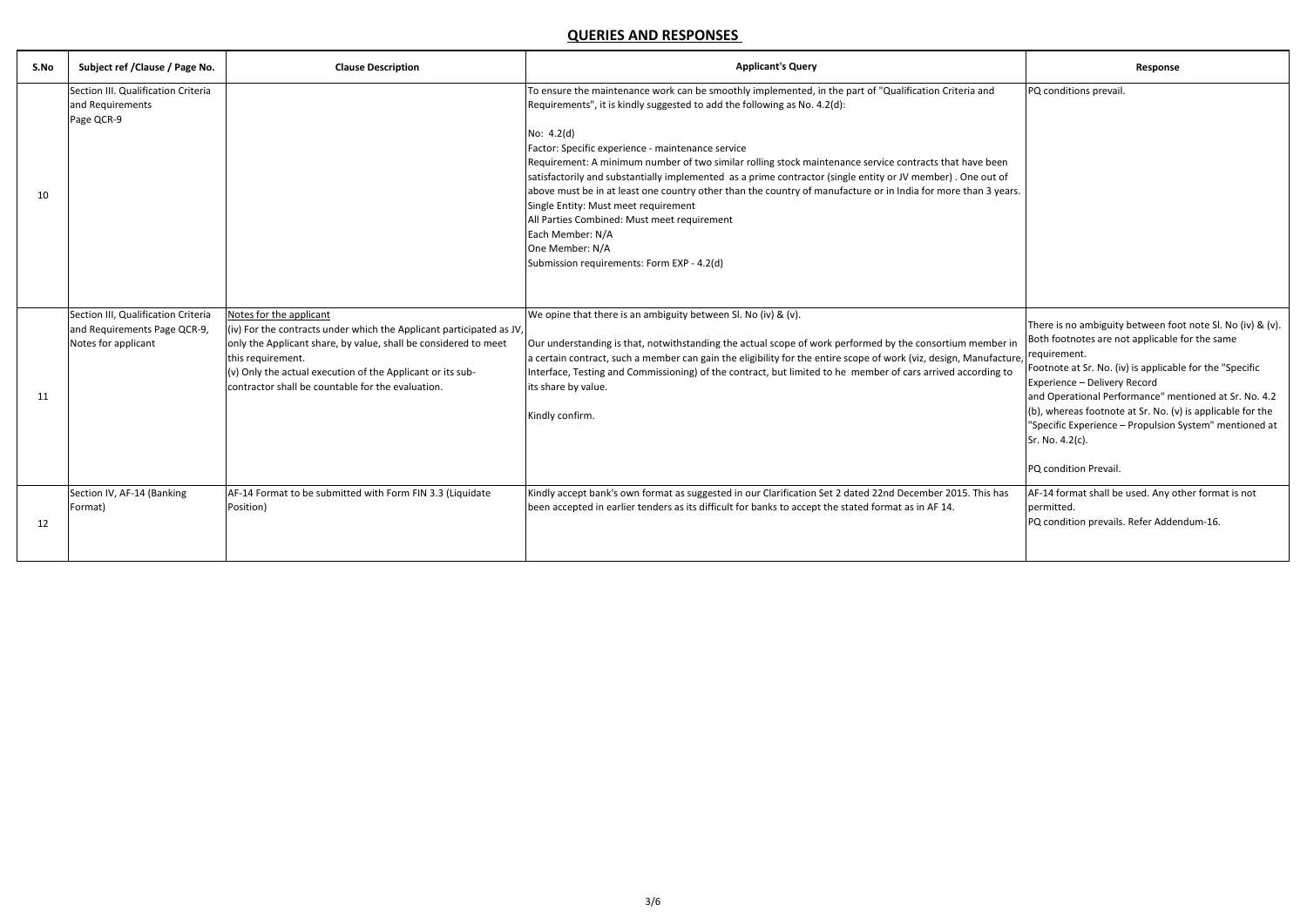| S.No | Subject ref / Clause / Page No.                                                            | <b>Clause Description</b>                                                                                                                                                                                                                                                                                  | <b>Applicant's Query</b>                                                                                                                                                                                                                                                                                                                                                                                                                                                                                                                                                                                                                                                                                                                                                         | Response                                                                                                                                                                                                                                                                                                                                                                                                                                              |
|------|--------------------------------------------------------------------------------------------|------------------------------------------------------------------------------------------------------------------------------------------------------------------------------------------------------------------------------------------------------------------------------------------------------------|----------------------------------------------------------------------------------------------------------------------------------------------------------------------------------------------------------------------------------------------------------------------------------------------------------------------------------------------------------------------------------------------------------------------------------------------------------------------------------------------------------------------------------------------------------------------------------------------------------------------------------------------------------------------------------------------------------------------------------------------------------------------------------|-------------------------------------------------------------------------------------------------------------------------------------------------------------------------------------------------------------------------------------------------------------------------------------------------------------------------------------------------------------------------------------------------------------------------------------------------------|
| 10   | Section III. Qualification Criteria<br>and Requirements<br>Page QCR-9                      |                                                                                                                                                                                                                                                                                                            | To ensure the maintenance work can be smoothly implemented, in the part of "Qualification Criteria and<br>Requirements", it is kindly suggested to add the following as No. 4.2(d):<br>No: $4.2(d)$<br>Factor: Specific experience - maintenance service<br>Requirement: A minimum number of two similar rolling stock maintenance service contracts that have been<br>satisfactorily and substantially implemented as a prime contractor (single entity or JV member). One out of<br>above must be in at least one country other than the country of manufacture or in India for more than 3 years.<br>Single Entity: Must meet requirement<br>All Parties Combined: Must meet requirement<br>Each Member: N/A<br>One Member: N/A<br>Submission requirements: Form EXP - 4.2(d) | PQ conditions prevail.                                                                                                                                                                                                                                                                                                                                                                                                                                |
| 11   | Section III, Qualification Criteria<br>and Requirements Page QCR-9,<br>Notes for applicant | Notes for the applicant<br>(iv) For the contracts under which the Applicant participated as JV,<br>only the Applicant share, by value, shall be considered to meet<br>this requirement.<br>(v) Only the actual execution of the Applicant or its sub-<br>contractor shall be countable for the evaluation. | We opine that there is an ambiguity between Sl. No (iv) & (v).<br>Our understanding is that, notwithstanding the actual scope of work performed by the consortium member in<br>a certain contract, such a member can gain the eligibility for the entire scope of work (viz, design, Manufacture,<br>Interface, Testing and Commissioning) of the contract, but limited to he member of cars arrived according to<br>its share by value.<br>Kindly confirm.                                                                                                                                                                                                                                                                                                                      | There is no ambiguity between foot note SI. No (iv) & (v).<br>Both footnotes are not applicable for the same<br>requirement.<br>Footnote at Sr. No. (iv) is applicable for the "Specific<br>Experience - Delivery Record<br>and Operational Performance" mentioned at Sr. No. 4.2<br>(b), whereas footnote at Sr. No. (v) is applicable for the<br>"Specific Experience - Propulsion System" mentioned at<br>Sr. No. 4.2(c).<br>PQ condition Prevail. |
| 12   | Section IV, AF-14 (Banking<br>Format)                                                      | AF-14 Format to be submitted with Form FIN 3.3 (Liquidate<br>Position)                                                                                                                                                                                                                                     | Kindly accept bank's own format as suggested in our Clarification Set 2 dated 22nd December 2015. This has<br>been accepted in earlier tenders as its difficult for banks to accept the stated format as in AF 14.                                                                                                                                                                                                                                                                                                                                                                                                                                                                                                                                                               | AF-14 format shall be used. Any other format is not<br>permitted.<br>PQ condition prevails. Refer Addendum-16.                                                                                                                                                                                                                                                                                                                                        |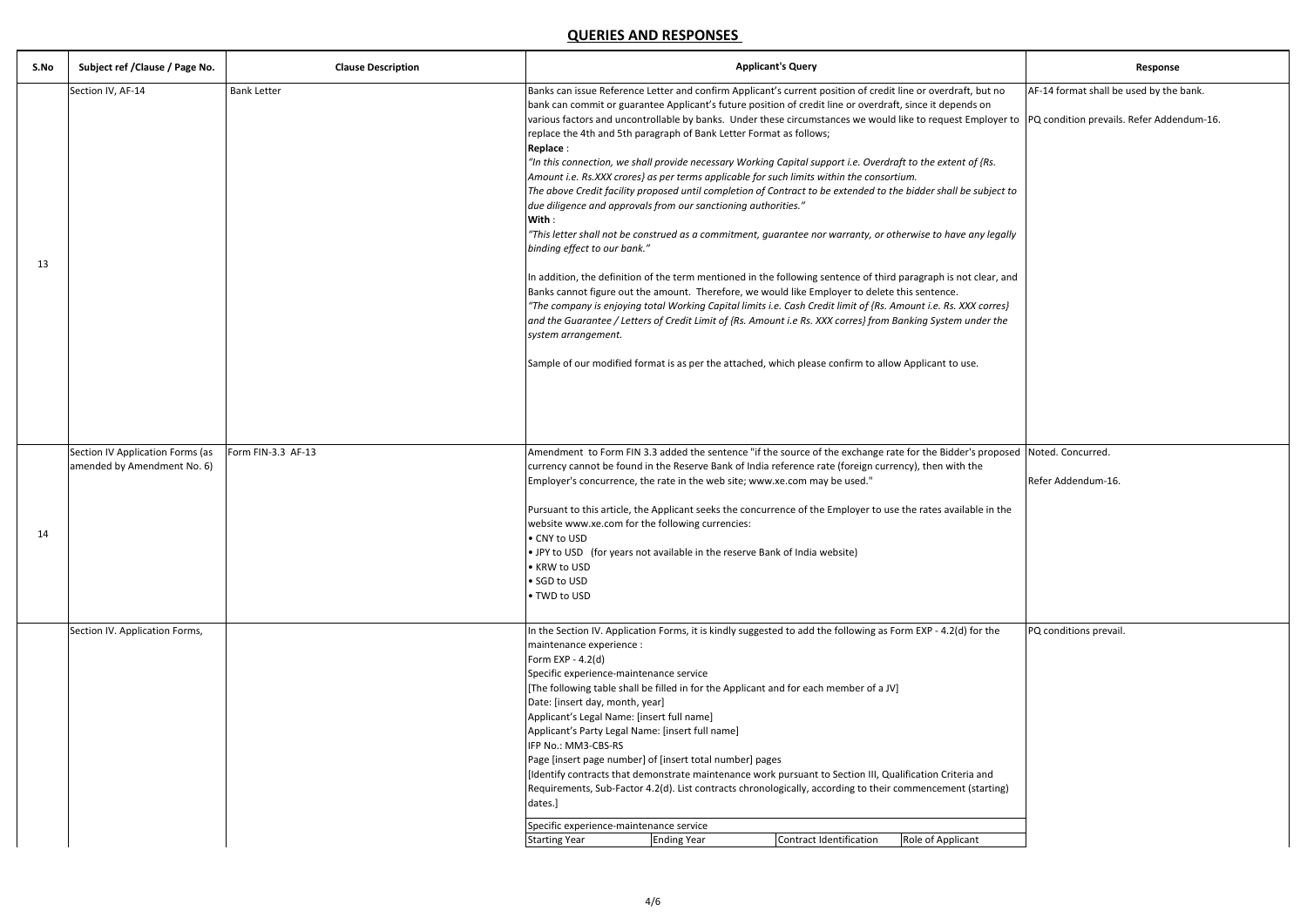|                | Response                                  |
|----------------|-------------------------------------------|
| t no           | AF-14 format shall be used by the bank.   |
| ١<br>oyer to   | PQ condition prevails. Refer Addendum-16. |
| s.             |                                           |
| ject to        |                                           |
| legally        |                                           |
| ar, and        |                                           |
| rres}<br>r the |                                           |
|                |                                           |
|                |                                           |
|                |                                           |
| oposed         | Noted. Concurred.                         |
|                | Refer Addendum-16.                        |
| n the          |                                           |
|                |                                           |
|                |                                           |
|                |                                           |
| he             | PQ conditions prevail.                    |
|                |                                           |
|                |                                           |
|                |                                           |
| d<br>ting)     |                                           |
|                |                                           |
|                |                                           |

| S.No | Subject ref / Clause / Page No.                                 | <b>Clause Description</b> | <b>Applicant's Query</b>                                                                                                                                                                                                                                                                                                                                                                                                                                                                                                                                                                                                                                                                                                                                                                                                                                                                                                                                                                                                                                                                                                                                                                                                                                                                                                                                                                                                                                                                                                                                                                                                  | Response                                |
|------|-----------------------------------------------------------------|---------------------------|---------------------------------------------------------------------------------------------------------------------------------------------------------------------------------------------------------------------------------------------------------------------------------------------------------------------------------------------------------------------------------------------------------------------------------------------------------------------------------------------------------------------------------------------------------------------------------------------------------------------------------------------------------------------------------------------------------------------------------------------------------------------------------------------------------------------------------------------------------------------------------------------------------------------------------------------------------------------------------------------------------------------------------------------------------------------------------------------------------------------------------------------------------------------------------------------------------------------------------------------------------------------------------------------------------------------------------------------------------------------------------------------------------------------------------------------------------------------------------------------------------------------------------------------------------------------------------------------------------------------------|-----------------------------------------|
| 13   | Section IV, AF-14                                               | <b>Bank Letter</b>        | Banks can issue Reference Letter and confirm Applicant's current position of credit line or overdraft, but no<br>bank can commit or guarantee Applicant's future position of credit line or overdraft, since it depends on<br>various factors and uncontrollable by banks. Under these circumstances we would like to request Employer to PQ condition prevails. Refer Addendum<br>replace the 4th and 5th paragraph of Bank Letter Format as follows;<br>Replace:<br>"In this connection, we shall provide necessary Working Capital support i.e. Overdraft to the extent of {Rs.<br>Amount i.e. Rs.XXX crores} as per terms applicable for such limits within the consortium.<br>The above Credit facility proposed until completion of Contract to be extended to the bidder shall be subject to<br>due diligence and approvals from our sanctioning authorities."<br>With:<br>"This letter shall not be construed as a commitment, guarantee nor warranty, or otherwise to have any legally<br>binding effect to our bank."<br>In addition, the definition of the term mentioned in the following sentence of third paragraph is not clear, and<br>Banks cannot figure out the amount. Therefore, we would like Employer to delete this sentence.<br>"The company is enjoying total Working Capital limits i.e. Cash Credit limit of {Rs. Amount i.e. Rs. XXX corres}<br>and the Guarantee / Letters of Credit Limit of {Rs. Amount i.e Rs. XXX corres} from Banking System under the<br>system arrangement.<br>Sample of our modified format is as per the attached, which please confirm to allow Applicant to use. | AF-14 format shall be used by the bank  |
| 14   | Section IV Application Forms (as<br>amended by Amendment No. 6) | Form FIN-3.3 AF-13        | Amendment to Form FIN 3.3 added the sentence "if the source of the exchange rate for the Bidder's proposed<br>currency cannot be found in the Reserve Bank of India reference rate (foreign currency), then with the<br>Employer's concurrence, the rate in the web site; www.xe.com may be used."<br>Pursuant to this article, the Applicant seeks the concurrence of the Employer to use the rates available in the<br>website www.xe.com for the following currencies:<br>• CNY to USD<br>• JPY to USD (for years not available in the reserve Bank of India website)<br>• KRW to USD<br>• SGD to USD<br>• TWD to USD                                                                                                                                                                                                                                                                                                                                                                                                                                                                                                                                                                                                                                                                                                                                                                                                                                                                                                                                                                                                  | Noted. Concurred.<br>Refer Addendum-16. |
|      | Section IV. Application Forms,                                  |                           | In the Section IV. Application Forms, it is kindly suggested to add the following as Form EXP - 4.2(d) for the<br>maintenance experience :<br>Form EXP - 4.2(d)<br>Specific experience-maintenance service<br>[The following table shall be filled in for the Applicant and for each member of a JV]<br>Date: [insert day, month, year]<br>Applicant's Legal Name: [insert full name]<br>Applicant's Party Legal Name: [insert full name]<br>IFP No.: MM3-CBS-RS<br>Page [insert page number] of [insert total number] pages<br>[Identify contracts that demonstrate maintenance work pursuant to Section III, Qualification Criteria and<br>Requirements, Sub-Factor 4.2(d). List contracts chronologically, according to their commencement (starting)<br>dates.]<br>Specific experience-maintenance service<br><b>Ending Year</b><br>Contract Identification<br>Role of Applicant<br><b>Starting Year</b>                                                                                                                                                                                                                                                                                                                                                                                                                                                                                                                                                                                                                                                                                                              | PQ conditions prevail.                  |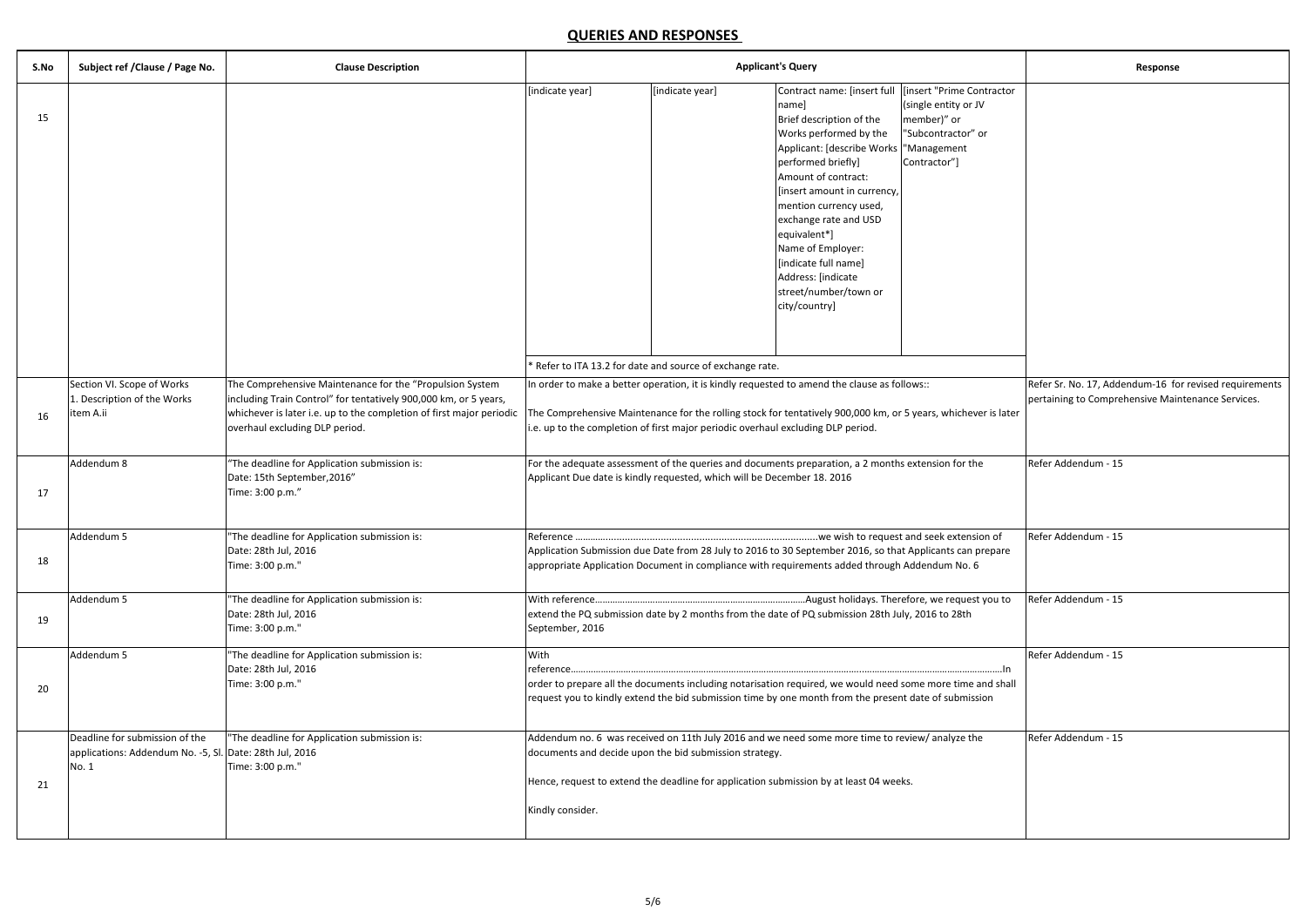| S.No | Subject ref / Clause / Page No.                                                                    | <b>Clause Description</b>                                                                                                                                                                                                              | <b>Applicant's Query</b>                                                                                                                                                                                                                                                                           |                                                           |                                                                                                                                                                                                                                                                                                                                                                                                                                | Response                                                                  |                                                                                                             |
|------|----------------------------------------------------------------------------------------------------|----------------------------------------------------------------------------------------------------------------------------------------------------------------------------------------------------------------------------------------|----------------------------------------------------------------------------------------------------------------------------------------------------------------------------------------------------------------------------------------------------------------------------------------------------|-----------------------------------------------------------|--------------------------------------------------------------------------------------------------------------------------------------------------------------------------------------------------------------------------------------------------------------------------------------------------------------------------------------------------------------------------------------------------------------------------------|---------------------------------------------------------------------------|-------------------------------------------------------------------------------------------------------------|
| 15   |                                                                                                    |                                                                                                                                                                                                                                        | [indicate year]                                                                                                                                                                                                                                                                                    | [indicate year]                                           | Contract name: [insert full   [insert "Prime Contractor<br>namel<br>Brief description of the<br>Works performed by the<br>Applicant: [describe Works   "Management<br>performed briefly]<br>Amount of contract:<br>[insert amount in currency,<br>mention currency used,<br>exchange rate and USD<br>equivalent*]<br>Name of Employer:<br>[indicate full name]<br>Address: [indicate<br>street/number/town or<br>city/country] | (single entity or JV<br>member)" or<br>"Subcontractor" or<br>Contractor"] |                                                                                                             |
|      |                                                                                                    |                                                                                                                                                                                                                                        |                                                                                                                                                                                                                                                                                                    | * Refer to ITA 13.2 for date and source of exchange rate. |                                                                                                                                                                                                                                                                                                                                                                                                                                |                                                                           |                                                                                                             |
| 16   | Section VI. Scope of Works<br>Description of the Works<br>item A.ii                                | The Comprehensive Maintenance for the "Propulsion System<br>including Train Control" for tentatively 900,000 km, or 5 years,<br>whichever is later i.e. up to the completion of first major periodic<br>overhaul excluding DLP period. | In order to make a better operation, it is kindly requested to amend the clause as follows::<br>The Comprehensive Maintenance for the rolling stock for tentatively 900,000 km, or 5 years, whichever is later<br>i.e. up to the completion of first major periodic overhaul excluding DLP period. |                                                           |                                                                                                                                                                                                                                                                                                                                                                                                                                |                                                                           | Refer Sr. No. 17, Addendum-16 for revised requirements<br>pertaining to Comprehensive Maintenance Services. |
| 17   | Addendum 8                                                                                         | "The deadline for Application submission is:<br>Date: 15th September, 2016"<br>Time: 3:00 p.m."                                                                                                                                        | For the adequate assessment of the queries and documents preparation, a 2 months extension for the<br>Applicant Due date is kindly requested, which will be December 18. 2016                                                                                                                      |                                                           |                                                                                                                                                                                                                                                                                                                                                                                                                                |                                                                           | Refer Addendum - 15                                                                                         |
| 18   | Addendum 5                                                                                         | "The deadline for Application submission is:<br>Date: 28th Jul, 2016<br>Time: 3:00 p.m."                                                                                                                                               | Application Submission due Date from 28 July to 2016 to 30 September 2016, so that Applicants can prepare<br>appropriate Application Document in compliance with requirements added through Addendum No. 6                                                                                         |                                                           |                                                                                                                                                                                                                                                                                                                                                                                                                                | Refer Addendum - 15                                                       |                                                                                                             |
| 19   | Addendum 5                                                                                         | "The deadline for Application submission is:<br>Date: 28th Jul, 2016<br>Time: 3:00 p.m."                                                                                                                                               | August holidays. Therefore, we request you to<br>With reference<br>extend the PQ submission date by 2 months from the date of PQ submission 28th July, 2016 to 28th<br>September, 2016                                                                                                             |                                                           |                                                                                                                                                                                                                                                                                                                                                                                                                                | Refer Addendum - 15                                                       |                                                                                                             |
| 20   | Addendum 5                                                                                         | "The deadline for Application submission is:<br>Date: 28th Jul, 2016<br>Time: 3:00 p.m."                                                                                                                                               | With<br>reference<br>order to prepare all the documents including notarisation required, we would need some more time and shall<br>request you to kindly extend the bid submission time by one month from the present date of submission                                                           |                                                           |                                                                                                                                                                                                                                                                                                                                                                                                                                | Refer Addendum - 15                                                       |                                                                                                             |
| 21   | Deadline for submission of the<br>applications: Addendum No. -5, Sl. Date: 28th Jul, 2016<br>No. 1 | "The deadline for Application submission is:<br>Time: 3:00 p.m."                                                                                                                                                                       | documents and decide upon the bid submission strategy.<br>Hence, request to extend the deadline for application submission by at least 04 weeks.<br>Kindly consider.                                                                                                                               |                                                           | Addendum no. 6 was received on 11th July 2016 and we need some more time to review/ analyze the                                                                                                                                                                                                                                                                                                                                |                                                                           | Refer Addendum - 15                                                                                         |